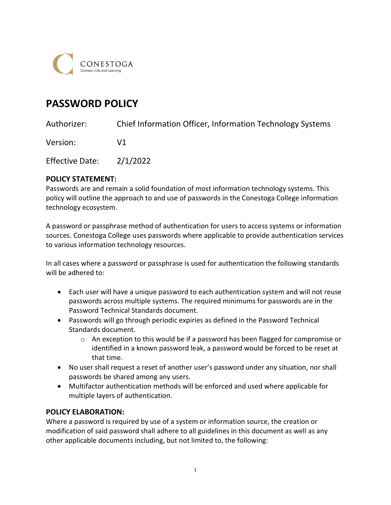

# PASSWORD POLICY

Authorizer: Chief Information Officer, Information Technology Systems

Version: V1

Effective Date: 2/1/2022

## POLICY STATEMENT:

Passwords are and remain a solid foundation of most information technology systems. This policy will outline the approach to and use of passwords in the Conestoga College information technology ecosystem.

A password or passphrase method of authentication for users to access systems or information sources. Conestoga College uses passwords where applicable to provide authentication services to various information technology resources.

In all cases where a password or passphrase is used for authentication the following standards will be adhered to:

- Each user will have a unique password to each authentication system and will not reuse passwords across multiple systems. The required minimums for passwords are in the Password Technical Standards document.
- Passwords will go through periodic expiries as defined in the Password Technical Standards document.
	- o An exception to this would be if a password has been flagged for compromise or identified in a known password leak, a password would be forced to be reset at that time.
- No user shall request a reset of another user's password under any situation, nor shall passwords be shared among any users.
- Multifactor authentication methods will be enforced and used where applicable for multiple layers of authentication.

## POLICY ELABORATION:

 Where a password is required by use of a system or information source, the creation or modification of said password shall adhere to all guidelines in this document as well as any other applicable documents including, but not limited to, the following: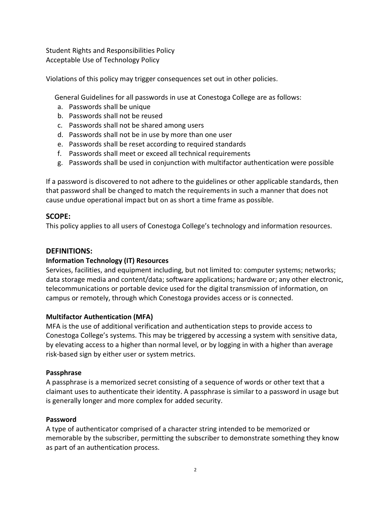Student Rights and Responsibilities Policy Acceptable Use of Technology Policy

Violations of this policy may trigger consequences set out in other policies.

General Guidelines for all passwords in use at Conestoga College are as follows:

- a. Passwords shall be unique
- b. Passwords shall not be reused
- c. Passwords shall not be shared among users
- d. Passwords shall not be in use by more than one user
- e. Passwords shall be reset according to required standards
- f. Passwords shall meet or exceed all technical requirements
- g. Passwords shall be used in conjunction with multifactor authentication were possible

 If a password is discovered to not adhere to the guidelines or other applicable standards, then that password shall be changed to match the requirements in such a manner that does not cause undue operational impact but on as short a time frame as possible.

## SCOPE:

This policy applies to all users of Conestoga College's technology and information resources.

## DEFINITIONS:

## Information Technology (IT) Resources

 Services, facilities, and equipment including, but not limited to: computer systems; networks; data storage media and content/data; software applications; hardware or; any other electronic, telecommunications or portable device used for the digital transmission of information, on campus or remotely, through which Conestoga provides access or is connected.

#### Multifactor Authentication (MFA)

 MFA is the use of additional verification and authentication steps to provide access to Conestoga College's systems. This may be triggered by accessing a system with sensitive data, by elevating access to a higher than normal level, or by logging in with a higher than average risk-based sign by either user or system metrics.

#### Passphrase

 A passphrase is a memorized secret consisting of a sequence of words or other text that a claimant uses to authenticate their identity. A passphrase is similar to a password in usage but is generally longer and more complex for added security.

## Password

 A type of authenticator comprised of a character string intended to be memorized or memorable by the subscriber, permitting the subscriber to demonstrate something they know as part of an authentication process.